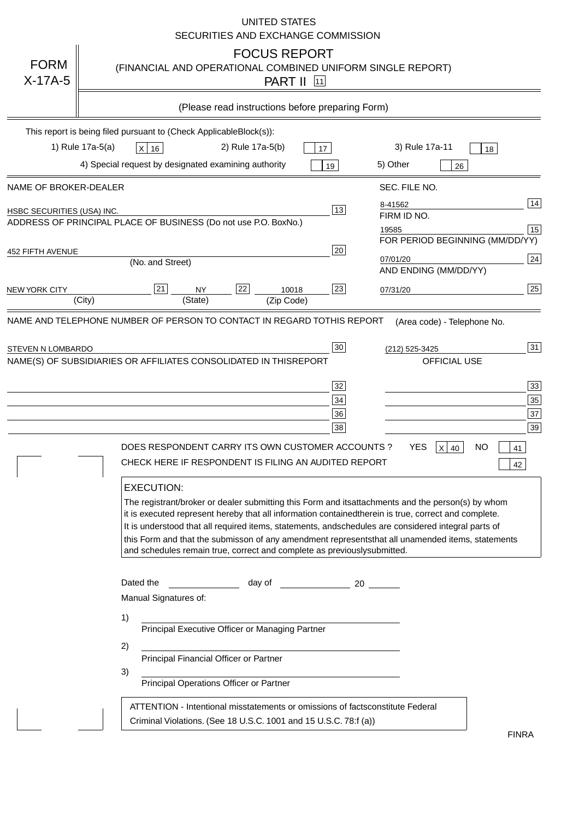|                            | <b>UNITED STATES</b><br>SECURITIES AND EXCHANGE COMMISSION                                                                                                                                                                                                                                                                                                                                                                                                                                                                                                            |
|----------------------------|-----------------------------------------------------------------------------------------------------------------------------------------------------------------------------------------------------------------------------------------------------------------------------------------------------------------------------------------------------------------------------------------------------------------------------------------------------------------------------------------------------------------------------------------------------------------------|
| <b>FORM</b><br>$X-17A-5$   | <b>FOCUS REPORT</b><br>(FINANCIAL AND OPERATIONAL COMBINED UNIFORM SINGLE REPORT)<br><b>PART II</b> [11]                                                                                                                                                                                                                                                                                                                                                                                                                                                              |
|                            | (Please read instructions before preparing Form)                                                                                                                                                                                                                                                                                                                                                                                                                                                                                                                      |
|                            | This report is being filed pursuant to (Check Applicable<br>$Block(s)$ :<br>1) Rule 17a-5(a)<br>3) Rule 17a-11<br>2) Rule 17a-5(b)<br>$X$ 16<br>17<br>18<br>4) Special request by designated examining authority<br>5) Other<br>19<br>26                                                                                                                                                                                                                                                                                                                              |
| NAME OF BROKER-DEALER      | SEC. FILE NO.                                                                                                                                                                                                                                                                                                                                                                                                                                                                                                                                                         |
| HSBC SECURITIES (USA) INC. | 14<br>8-41562<br>13<br>FIRM ID NO.<br>ADDRESS OF PRINCIPAL PLACE OF BUSINESS (Do not use P.O. Box<br>No.)<br>15<br>19585<br>FOR PERIOD BEGINNING (MM/DD/YY)                                                                                                                                                                                                                                                                                                                                                                                                           |
| <b>452 FIFTH AVENUE</b>    | 20<br> 24 <br>07/01/20<br>(No. and Street)<br>AND ENDING (MM/DD/YY)                                                                                                                                                                                                                                                                                                                                                                                                                                                                                                   |
| <b>NEW YORK CITY</b>       | 25<br>22<br>21<br>23<br><b>NY</b><br>10018<br>07/31/20<br>(City)<br>(State)<br>(Zip Code)                                                                                                                                                                                                                                                                                                                                                                                                                                                                             |
| STEVEN N LOMBARDO          | 31<br>30<br>(212) 525-3425<br>NAME(S) OF SUBSIDIARIES OR AFFILIATES CONSOLIDATED IN THIS<br><b>REPORT</b><br><b>OFFICIAL USE</b><br>$\overline{33}$<br>32<br>35<br>$34$<br>37<br>36<br>39<br>38<br>$X$ 40<br>DOES RESPONDENT CARRY ITS OWN CUSTOMER ACCOUNTS?<br>YES<br>NO<br>41<br>CHECK HERE IF RESPONDENT IS FILING AN AUDITED REPORT<br>42                                                                                                                                                                                                                        |
|                            | <b>EXECUTION:</b><br>The registrant/broker or dealer submitting this Form and its<br>attachments and the person(s) by whom<br>it is executed represent hereby that all information contained<br>therein is true, correct and complete.<br>It is understood that all required items, statements, and<br>schedules are considered integral parts of<br>this Form and that the submisson of any amendment represents<br>that all unamended items, statements<br>and schedules remain true, correct and complete as previously<br>submitted.<br>Dated the<br>day of<br>20 |
|                            | Manual Signatures of:<br>1)                                                                                                                                                                                                                                                                                                                                                                                                                                                                                                                                           |
|                            | Principal Executive Officer or Managing Partner<br>2)<br>Principal Financial Officer or Partner                                                                                                                                                                                                                                                                                                                                                                                                                                                                       |
|                            | 3)<br>Principal Operations Officer or Partner                                                                                                                                                                                                                                                                                                                                                                                                                                                                                                                         |
|                            | constitute Federal<br>ATTENTION - Intentional misstatements or omissions of facts<br>Criminal Violations. (See 18 U.S.C. 1001 and 15 U.S.C. 78:f (a)<br>$\lambda$<br><b>FINRA</b>                                                                                                                                                                                                                                                                                                                                                                                     |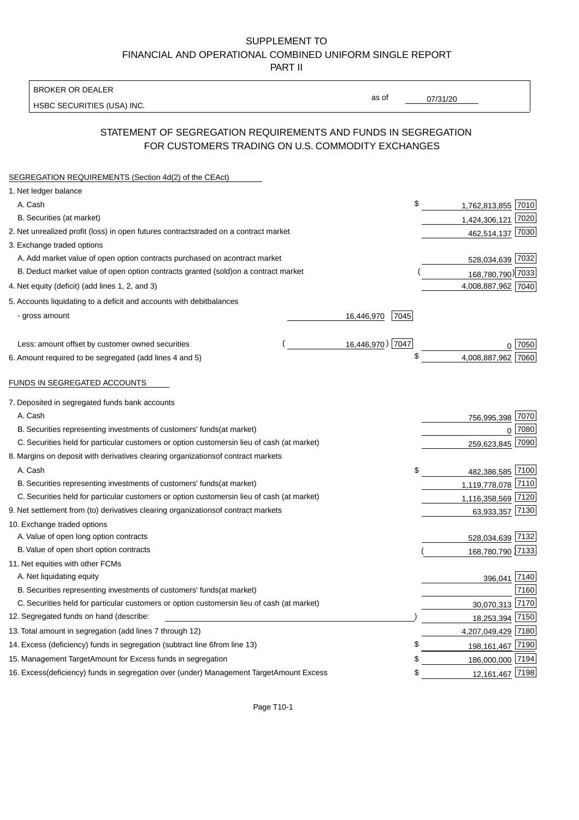BROKER OR DEALER

HSBC SECURITIES (USA) INC.

07/31/20

as of

### STATEMENT OF SEGREGATION REQUIREMENTS AND FUNDS IN SEGREGATION FOR CUSTOMERS TRADING ON U.S. COMMODITY EXCHANGES

| SEGREGATION REQUIREMENTS (Section 4d(2) of the CEAct)                                          |                    |                    |        |
|------------------------------------------------------------------------------------------------|--------------------|--------------------|--------|
| 1. Net ledger balance                                                                          |                    |                    |        |
| A. Cash                                                                                        | \$                 | 1,762,813,855 7010 |        |
| B. Securities (at market)                                                                      |                    | 1,424,306,121 7020 |        |
| 2. Net unrealized profit (loss) in open futures contracts<br>traded on a contract market       |                    | 462,514,137 7030   |        |
| 3. Exchange traded options                                                                     |                    |                    |        |
| A. Add market value of open option contracts purchased on a<br>contract market                 |                    | 528,034,639 7032   |        |
| B. Deduct market value of open option contracts granted (sold)<br>on a contract market         |                    | 168,780,790) 7033  |        |
| 4. Net equity (deficit) (add lines 1, 2, and 3)                                                |                    | 4,008,887,962 7040 |        |
| 5. Accounts liquidating to a deficit and accounts with debit<br>balances                       |                    |                    |        |
| - gross amount                                                                                 | 16,446,970<br>7045 |                    |        |
|                                                                                                |                    |                    |        |
| Less: amount offset by customer owned securities                                               | 16,446,970) 7047   |                    | 0 7050 |
| 6. Amount required to be segregated (add lines 4 and 5)                                        | \$                 | 4,008,887,962 7060 |        |
|                                                                                                |                    |                    |        |
| FUNDS IN SEGREGATED ACCOUNTS                                                                   |                    |                    |        |
| 7. Deposited in segregated funds bank accounts                                                 |                    |                    |        |
| A. Cash                                                                                        |                    | 756,995,398        | 7070   |
| B. Securities representing investments of customers' funds<br>(at market)                      |                    | $\Omega$           | 7080   |
| C. Securities held for particular customers or option customers<br>in lieu of cash (at market) |                    | 259,623,845        | 7090   |
| 8. Margins on deposit with derivatives clearing organizations<br>of contract markets           |                    |                    |        |
| A. Cash                                                                                        | \$                 | 482,386,585 7100   |        |
| B. Securities representing investments of customers' funds<br>(at market)                      |                    | 1,119,778,078 7110 |        |
| C. Securities held for particular customers or option customers<br>in lieu of cash (at market) |                    | 1,116,358,569 7120 |        |
| 9. Net settlement from (to) derivatives clearing organizations<br>of contract markets          |                    | 63,933,357 7130    |        |
| 10. Exchange traded options                                                                    |                    |                    |        |
| A. Value of open long option contracts                                                         |                    | 528,034,639 7132   |        |
| B. Value of open short option contracts                                                        |                    | 168,780,790 7133   |        |
| 11. Net equities with other FCMs                                                               |                    |                    |        |
| A. Net liquidating equity                                                                      |                    | 396,041 7140       |        |
| B. Securities representing investments of customers' funds<br>(at market)                      |                    |                    | 7160   |
| C. Securities held for particular customers or option customers<br>in lieu of cash (at market) |                    | 30,070,313 7170    |        |
| 12. Segregated funds on hand (describe:                                                        |                    | 18,253,394 7150    |        |
| 13. Total amount in segregation (add lines 7 through 12)                                       |                    | 4,207,049,429 7180 |        |
| 14. Excess (deficiency) funds in segregation (subtract line 6<br>from line 13)                 | S                  | 198, 161, 467 7190 |        |
| 15. Management Target Amount for Excess funds in segregation                                   | \$                 | 186,000,000 7194   |        |
| 16. Excess (deficiency) funds in segregation over (under) Management Target Amount Excess      | \$                 | 12,161,467 7198    |        |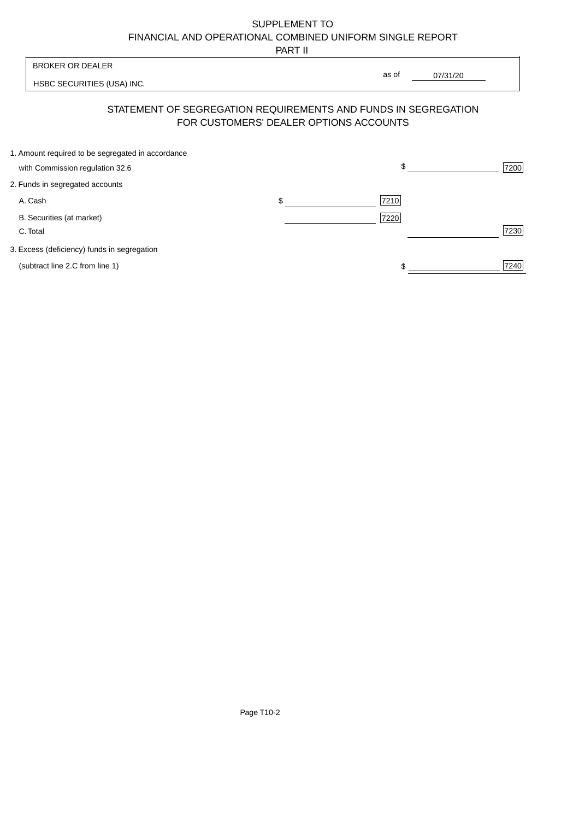PART II

| <b>BROKER OR DEALER</b>                           |                                        | as of                                                          |      |
|---------------------------------------------------|----------------------------------------|----------------------------------------------------------------|------|
| HSBC SECURITIES (USA) INC.                        |                                        | 07/31/20                                                       |      |
|                                                   | FOR CUSTOMERS' DEALER OPTIONS ACCOUNTS | STATEMENT OF SEGREGATION REQUIREMENTS AND FUNDS IN SEGREGATION |      |
| 1. Amount required to be segregated in accordance |                                        |                                                                |      |
| with Commission regulation 32.6                   |                                        | \$                                                             | 7200 |
| 2. Funds in segregated accounts                   |                                        |                                                                |      |
| A. Cash                                           | \$                                     | 7210                                                           |      |
| B. Securities (at market)                         |                                        | 7220                                                           |      |
| C. Total                                          |                                        |                                                                | 7230 |

3. Excess (deficiency) funds in segregation

(subtract line 2.C from line 1)  $\frac{1}{240}$  $\frac{1}{1}$ 

 $\overline{\mathsf{I}}$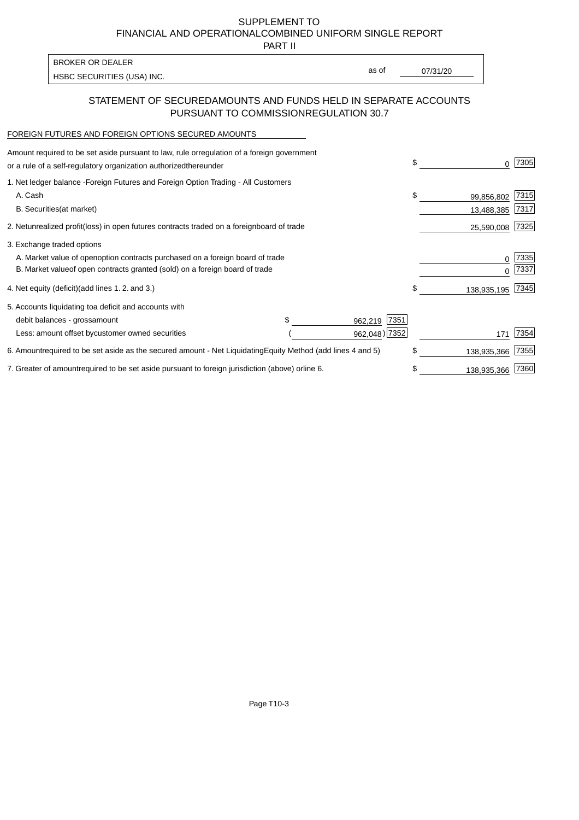PART II

HSBC SECURITIES (USA) INC. The state of the second second second second second second second second second second second second second second second second second second second second second second second second second sec BROKER OR DEALER

as of

### STATEMENT OF SECURED AMOUNTS AND FUNDS HELD IN SEPARATE ACCOUNTS PURSUANT TO COMMISSION REGULATION 30.7

#### FOREIGN FUTURES AND FOREIGN OPTIONS SECURED AMOUNTS

| Amount required to be set aside pursuant to law, rule or<br>regulation of a foreign government<br>or a rule of a self-regulatory organization authorized<br>thereunder                       |                                   |                                  | \$<br>0                        | 7305         |
|----------------------------------------------------------------------------------------------------------------------------------------------------------------------------------------------|-----------------------------------|----------------------------------|--------------------------------|--------------|
| 1. Net ledger balance - Foreign Futures and Foreign Option Trading - All Customers<br>A. Cash<br><b>B.</b> Securities<br>(at market)                                                         |                                   |                                  | \$<br>99,856,802<br>13,488,385 | 7315<br>7317 |
| unrealized profit (loss) in open futures contracts traded on a foreign board of trade<br>2. Net                                                                                              |                                   |                                  | 25,590,008                     | 7325         |
| 3. Exchange traded options<br>A. Market value of open option contracts purchased on a foreign board of trade<br>B. Market value of open contracts granted (sold) on a foreign board of trade |                                   |                                  | 0                              | 7335<br>7337 |
| (add lines 1.2. and 3.)<br>4. Net equity (deficit)                                                                                                                                           |                                   |                                  | \$<br>138,935,195              | 7345         |
| 5. Accounts liquidating to a deficit and accounts with<br>debit balances - gross<br>amount<br>Less: amount offset by<br>customer owned securities                                            | \$                                | 7351<br>962,219<br>962,048) 7352 | 171                            | 7354         |
| 6. Amount required to be set aside as the secured amount - Net Liquidating                                                                                                                   | Equity Method (add lines 4 and 5) |                                  | \$<br>138,935,366              | 7355         |
| 7. Greater of amount required to be set aside pursuant to foreign jurisdiction (above) or line 6.                                                                                            |                                   |                                  | 138,935,366                    | 7360         |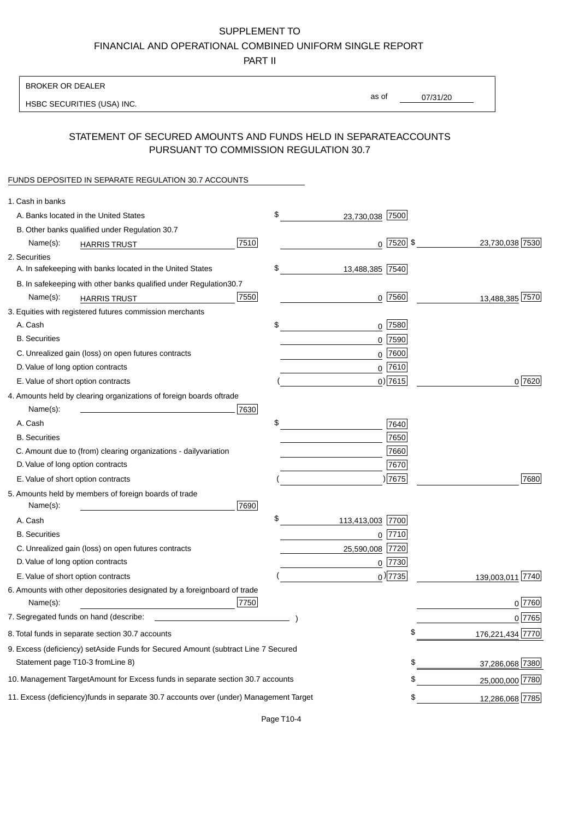PART II

| as of<br>07/31/20<br>HSBC SECURITIES (USA) INC.<br>STATEMENT OF SECURED AMOUNTS AND FUNDS HELD IN SEPARATE<br><b>ACCOUNTS</b><br>PURSUANT TO COMMISSION REGULATION 30.7<br>FUNDS DEPOSITED IN SEPARATE REGULATION 30.7 ACCOUNTS<br>1. Cash in banks<br>\$<br>A. Banks located in the United States<br>23,730,038 7500<br>B. Other banks qualified under Regulation 30.7<br>7510<br>$0$ 7520 \$<br>23,730,038 7530<br>Name(s):<br><b>HARRIS TRUST</b><br>2. Securities<br>\$<br>A. In safekeeping with banks located in the United States<br>13,488,385 7540<br>30.7<br>B. In safekeeping with other banks qualified under Regulation<br>7550<br>$0$ 7560<br>13,488,385 7570<br>Name(s):<br><b>HARRIS TRUST</b><br>3. Equities with registered futures commission merchants<br>A. Cash<br>\$<br>$0$ 7580<br><b>B.</b> Securities<br>$0$ 7590<br>$0$ 7600<br>C. Unrealized gain (loss) on open futures contracts<br>$0$ 7610<br>D. Value of long option contracts<br>$0)$ 7615<br>0 7620<br>E. Value of short option contracts<br>4. Amounts held by clearing organizations of foreign boards of<br>trade<br>7630<br>Name(s):<br>\$<br>A. Cash<br>7640<br>7650<br><b>B.</b> Securities<br>7660<br>C. Amount due to (from) clearing organizations - daily<br>variation<br>D. Value of long option contracts<br>7670<br>) 7675<br>7680<br>E. Value of short option contracts<br>5. Amounts held by members of foreign boards of trade<br>Name(s):<br>7690<br>\$<br>113,413,003 7700<br>A. Cash<br><b>B.</b> Securities<br> 7710<br>0<br>C. Unrealized gain (loss) on open futures contracts<br>25,590,008 7720<br>D. Value of long option contracts<br>$0$ 7730<br>$_0$ ) 7735<br>139,003,011 7740<br>E. Value of short option contracts<br>6. Amounts with other depositories designated by a foreign<br>board of trade<br>7750<br>0 7760<br>Name(s):<br>07765<br>7. Segregated funds on hand (describe:<br>\$<br>176,221,434 7770<br>8. Total funds in separate section 30.7 accounts<br>9. Excess (deficiency) set Aside Funds for Secured Amount (subtract Line 7 Secured<br>Statement page T10-3 from Line 8)<br>\$<br>37,286,068 7380<br>\$<br>10. Management Target Amount for Excess funds in separate section 30.7 accounts<br>25,000,000 7780<br>11. Excess (deficiency) funds in separate 30.7 accounts over (under) Management Target | <b>BROKER OR DEALER</b> |  |                       |
|-----------------------------------------------------------------------------------------------------------------------------------------------------------------------------------------------------------------------------------------------------------------------------------------------------------------------------------------------------------------------------------------------------------------------------------------------------------------------------------------------------------------------------------------------------------------------------------------------------------------------------------------------------------------------------------------------------------------------------------------------------------------------------------------------------------------------------------------------------------------------------------------------------------------------------------------------------------------------------------------------------------------------------------------------------------------------------------------------------------------------------------------------------------------------------------------------------------------------------------------------------------------------------------------------------------------------------------------------------------------------------------------------------------------------------------------------------------------------------------------------------------------------------------------------------------------------------------------------------------------------------------------------------------------------------------------------------------------------------------------------------------------------------------------------------------------------------------------------------------------------------------------------------------------------------------------------------------------------------------------------------------------------------------------------------------------------------------------------------------------------------------------------------------------------------------------------------------------------------------------------------------------------------------------------------------------------------------------------|-------------------------|--|-----------------------|
|                                                                                                                                                                                                                                                                                                                                                                                                                                                                                                                                                                                                                                                                                                                                                                                                                                                                                                                                                                                                                                                                                                                                                                                                                                                                                                                                                                                                                                                                                                                                                                                                                                                                                                                                                                                                                                                                                                                                                                                                                                                                                                                                                                                                                                                                                                                                               |                         |  |                       |
|                                                                                                                                                                                                                                                                                                                                                                                                                                                                                                                                                                                                                                                                                                                                                                                                                                                                                                                                                                                                                                                                                                                                                                                                                                                                                                                                                                                                                                                                                                                                                                                                                                                                                                                                                                                                                                                                                                                                                                                                                                                                                                                                                                                                                                                                                                                                               |                         |  |                       |
|                                                                                                                                                                                                                                                                                                                                                                                                                                                                                                                                                                                                                                                                                                                                                                                                                                                                                                                                                                                                                                                                                                                                                                                                                                                                                                                                                                                                                                                                                                                                                                                                                                                                                                                                                                                                                                                                                                                                                                                                                                                                                                                                                                                                                                                                                                                                               |                         |  |                       |
|                                                                                                                                                                                                                                                                                                                                                                                                                                                                                                                                                                                                                                                                                                                                                                                                                                                                                                                                                                                                                                                                                                                                                                                                                                                                                                                                                                                                                                                                                                                                                                                                                                                                                                                                                                                                                                                                                                                                                                                                                                                                                                                                                                                                                                                                                                                                               |                         |  |                       |
|                                                                                                                                                                                                                                                                                                                                                                                                                                                                                                                                                                                                                                                                                                                                                                                                                                                                                                                                                                                                                                                                                                                                                                                                                                                                                                                                                                                                                                                                                                                                                                                                                                                                                                                                                                                                                                                                                                                                                                                                                                                                                                                                                                                                                                                                                                                                               |                         |  |                       |
|                                                                                                                                                                                                                                                                                                                                                                                                                                                                                                                                                                                                                                                                                                                                                                                                                                                                                                                                                                                                                                                                                                                                                                                                                                                                                                                                                                                                                                                                                                                                                                                                                                                                                                                                                                                                                                                                                                                                                                                                                                                                                                                                                                                                                                                                                                                                               |                         |  |                       |
|                                                                                                                                                                                                                                                                                                                                                                                                                                                                                                                                                                                                                                                                                                                                                                                                                                                                                                                                                                                                                                                                                                                                                                                                                                                                                                                                                                                                                                                                                                                                                                                                                                                                                                                                                                                                                                                                                                                                                                                                                                                                                                                                                                                                                                                                                                                                               |                         |  |                       |
|                                                                                                                                                                                                                                                                                                                                                                                                                                                                                                                                                                                                                                                                                                                                                                                                                                                                                                                                                                                                                                                                                                                                                                                                                                                                                                                                                                                                                                                                                                                                                                                                                                                                                                                                                                                                                                                                                                                                                                                                                                                                                                                                                                                                                                                                                                                                               |                         |  |                       |
|                                                                                                                                                                                                                                                                                                                                                                                                                                                                                                                                                                                                                                                                                                                                                                                                                                                                                                                                                                                                                                                                                                                                                                                                                                                                                                                                                                                                                                                                                                                                                                                                                                                                                                                                                                                                                                                                                                                                                                                                                                                                                                                                                                                                                                                                                                                                               |                         |  |                       |
|                                                                                                                                                                                                                                                                                                                                                                                                                                                                                                                                                                                                                                                                                                                                                                                                                                                                                                                                                                                                                                                                                                                                                                                                                                                                                                                                                                                                                                                                                                                                                                                                                                                                                                                                                                                                                                                                                                                                                                                                                                                                                                                                                                                                                                                                                                                                               |                         |  |                       |
|                                                                                                                                                                                                                                                                                                                                                                                                                                                                                                                                                                                                                                                                                                                                                                                                                                                                                                                                                                                                                                                                                                                                                                                                                                                                                                                                                                                                                                                                                                                                                                                                                                                                                                                                                                                                                                                                                                                                                                                                                                                                                                                                                                                                                                                                                                                                               |                         |  |                       |
|                                                                                                                                                                                                                                                                                                                                                                                                                                                                                                                                                                                                                                                                                                                                                                                                                                                                                                                                                                                                                                                                                                                                                                                                                                                                                                                                                                                                                                                                                                                                                                                                                                                                                                                                                                                                                                                                                                                                                                                                                                                                                                                                                                                                                                                                                                                                               |                         |  |                       |
|                                                                                                                                                                                                                                                                                                                                                                                                                                                                                                                                                                                                                                                                                                                                                                                                                                                                                                                                                                                                                                                                                                                                                                                                                                                                                                                                                                                                                                                                                                                                                                                                                                                                                                                                                                                                                                                                                                                                                                                                                                                                                                                                                                                                                                                                                                                                               |                         |  |                       |
|                                                                                                                                                                                                                                                                                                                                                                                                                                                                                                                                                                                                                                                                                                                                                                                                                                                                                                                                                                                                                                                                                                                                                                                                                                                                                                                                                                                                                                                                                                                                                                                                                                                                                                                                                                                                                                                                                                                                                                                                                                                                                                                                                                                                                                                                                                                                               |                         |  |                       |
|                                                                                                                                                                                                                                                                                                                                                                                                                                                                                                                                                                                                                                                                                                                                                                                                                                                                                                                                                                                                                                                                                                                                                                                                                                                                                                                                                                                                                                                                                                                                                                                                                                                                                                                                                                                                                                                                                                                                                                                                                                                                                                                                                                                                                                                                                                                                               |                         |  |                       |
|                                                                                                                                                                                                                                                                                                                                                                                                                                                                                                                                                                                                                                                                                                                                                                                                                                                                                                                                                                                                                                                                                                                                                                                                                                                                                                                                                                                                                                                                                                                                                                                                                                                                                                                                                                                                                                                                                                                                                                                                                                                                                                                                                                                                                                                                                                                                               |                         |  |                       |
|                                                                                                                                                                                                                                                                                                                                                                                                                                                                                                                                                                                                                                                                                                                                                                                                                                                                                                                                                                                                                                                                                                                                                                                                                                                                                                                                                                                                                                                                                                                                                                                                                                                                                                                                                                                                                                                                                                                                                                                                                                                                                                                                                                                                                                                                                                                                               |                         |  |                       |
|                                                                                                                                                                                                                                                                                                                                                                                                                                                                                                                                                                                                                                                                                                                                                                                                                                                                                                                                                                                                                                                                                                                                                                                                                                                                                                                                                                                                                                                                                                                                                                                                                                                                                                                                                                                                                                                                                                                                                                                                                                                                                                                                                                                                                                                                                                                                               |                         |  |                       |
|                                                                                                                                                                                                                                                                                                                                                                                                                                                                                                                                                                                                                                                                                                                                                                                                                                                                                                                                                                                                                                                                                                                                                                                                                                                                                                                                                                                                                                                                                                                                                                                                                                                                                                                                                                                                                                                                                                                                                                                                                                                                                                                                                                                                                                                                                                                                               |                         |  |                       |
|                                                                                                                                                                                                                                                                                                                                                                                                                                                                                                                                                                                                                                                                                                                                                                                                                                                                                                                                                                                                                                                                                                                                                                                                                                                                                                                                                                                                                                                                                                                                                                                                                                                                                                                                                                                                                                                                                                                                                                                                                                                                                                                                                                                                                                                                                                                                               |                         |  |                       |
|                                                                                                                                                                                                                                                                                                                                                                                                                                                                                                                                                                                                                                                                                                                                                                                                                                                                                                                                                                                                                                                                                                                                                                                                                                                                                                                                                                                                                                                                                                                                                                                                                                                                                                                                                                                                                                                                                                                                                                                                                                                                                                                                                                                                                                                                                                                                               |                         |  |                       |
|                                                                                                                                                                                                                                                                                                                                                                                                                                                                                                                                                                                                                                                                                                                                                                                                                                                                                                                                                                                                                                                                                                                                                                                                                                                                                                                                                                                                                                                                                                                                                                                                                                                                                                                                                                                                                                                                                                                                                                                                                                                                                                                                                                                                                                                                                                                                               |                         |  |                       |
|                                                                                                                                                                                                                                                                                                                                                                                                                                                                                                                                                                                                                                                                                                                                                                                                                                                                                                                                                                                                                                                                                                                                                                                                                                                                                                                                                                                                                                                                                                                                                                                                                                                                                                                                                                                                                                                                                                                                                                                                                                                                                                                                                                                                                                                                                                                                               |                         |  |                       |
|                                                                                                                                                                                                                                                                                                                                                                                                                                                                                                                                                                                                                                                                                                                                                                                                                                                                                                                                                                                                                                                                                                                                                                                                                                                                                                                                                                                                                                                                                                                                                                                                                                                                                                                                                                                                                                                                                                                                                                                                                                                                                                                                                                                                                                                                                                                                               |                         |  |                       |
|                                                                                                                                                                                                                                                                                                                                                                                                                                                                                                                                                                                                                                                                                                                                                                                                                                                                                                                                                                                                                                                                                                                                                                                                                                                                                                                                                                                                                                                                                                                                                                                                                                                                                                                                                                                                                                                                                                                                                                                                                                                                                                                                                                                                                                                                                                                                               |                         |  |                       |
|                                                                                                                                                                                                                                                                                                                                                                                                                                                                                                                                                                                                                                                                                                                                                                                                                                                                                                                                                                                                                                                                                                                                                                                                                                                                                                                                                                                                                                                                                                                                                                                                                                                                                                                                                                                                                                                                                                                                                                                                                                                                                                                                                                                                                                                                                                                                               |                         |  |                       |
|                                                                                                                                                                                                                                                                                                                                                                                                                                                                                                                                                                                                                                                                                                                                                                                                                                                                                                                                                                                                                                                                                                                                                                                                                                                                                                                                                                                                                                                                                                                                                                                                                                                                                                                                                                                                                                                                                                                                                                                                                                                                                                                                                                                                                                                                                                                                               |                         |  |                       |
|                                                                                                                                                                                                                                                                                                                                                                                                                                                                                                                                                                                                                                                                                                                                                                                                                                                                                                                                                                                                                                                                                                                                                                                                                                                                                                                                                                                                                                                                                                                                                                                                                                                                                                                                                                                                                                                                                                                                                                                                                                                                                                                                                                                                                                                                                                                                               |                         |  |                       |
|                                                                                                                                                                                                                                                                                                                                                                                                                                                                                                                                                                                                                                                                                                                                                                                                                                                                                                                                                                                                                                                                                                                                                                                                                                                                                                                                                                                                                                                                                                                                                                                                                                                                                                                                                                                                                                                                                                                                                                                                                                                                                                                                                                                                                                                                                                                                               |                         |  |                       |
|                                                                                                                                                                                                                                                                                                                                                                                                                                                                                                                                                                                                                                                                                                                                                                                                                                                                                                                                                                                                                                                                                                                                                                                                                                                                                                                                                                                                                                                                                                                                                                                                                                                                                                                                                                                                                                                                                                                                                                                                                                                                                                                                                                                                                                                                                                                                               |                         |  |                       |
|                                                                                                                                                                                                                                                                                                                                                                                                                                                                                                                                                                                                                                                                                                                                                                                                                                                                                                                                                                                                                                                                                                                                                                                                                                                                                                                                                                                                                                                                                                                                                                                                                                                                                                                                                                                                                                                                                                                                                                                                                                                                                                                                                                                                                                                                                                                                               |                         |  |                       |
|                                                                                                                                                                                                                                                                                                                                                                                                                                                                                                                                                                                                                                                                                                                                                                                                                                                                                                                                                                                                                                                                                                                                                                                                                                                                                                                                                                                                                                                                                                                                                                                                                                                                                                                                                                                                                                                                                                                                                                                                                                                                                                                                                                                                                                                                                                                                               |                         |  |                       |
|                                                                                                                                                                                                                                                                                                                                                                                                                                                                                                                                                                                                                                                                                                                                                                                                                                                                                                                                                                                                                                                                                                                                                                                                                                                                                                                                                                                                                                                                                                                                                                                                                                                                                                                                                                                                                                                                                                                                                                                                                                                                                                                                                                                                                                                                                                                                               |                         |  |                       |
|                                                                                                                                                                                                                                                                                                                                                                                                                                                                                                                                                                                                                                                                                                                                                                                                                                                                                                                                                                                                                                                                                                                                                                                                                                                                                                                                                                                                                                                                                                                                                                                                                                                                                                                                                                                                                                                                                                                                                                                                                                                                                                                                                                                                                                                                                                                                               |                         |  |                       |
|                                                                                                                                                                                                                                                                                                                                                                                                                                                                                                                                                                                                                                                                                                                                                                                                                                                                                                                                                                                                                                                                                                                                                                                                                                                                                                                                                                                                                                                                                                                                                                                                                                                                                                                                                                                                                                                                                                                                                                                                                                                                                                                                                                                                                                                                                                                                               |                         |  |                       |
|                                                                                                                                                                                                                                                                                                                                                                                                                                                                                                                                                                                                                                                                                                                                                                                                                                                                                                                                                                                                                                                                                                                                                                                                                                                                                                                                                                                                                                                                                                                                                                                                                                                                                                                                                                                                                                                                                                                                                                                                                                                                                                                                                                                                                                                                                                                                               |                         |  |                       |
|                                                                                                                                                                                                                                                                                                                                                                                                                                                                                                                                                                                                                                                                                                                                                                                                                                                                                                                                                                                                                                                                                                                                                                                                                                                                                                                                                                                                                                                                                                                                                                                                                                                                                                                                                                                                                                                                                                                                                                                                                                                                                                                                                                                                                                                                                                                                               |                         |  |                       |
|                                                                                                                                                                                                                                                                                                                                                                                                                                                                                                                                                                                                                                                                                                                                                                                                                                                                                                                                                                                                                                                                                                                                                                                                                                                                                                                                                                                                                                                                                                                                                                                                                                                                                                                                                                                                                                                                                                                                                                                                                                                                                                                                                                                                                                                                                                                                               |                         |  | \$<br>12,286,068 7785 |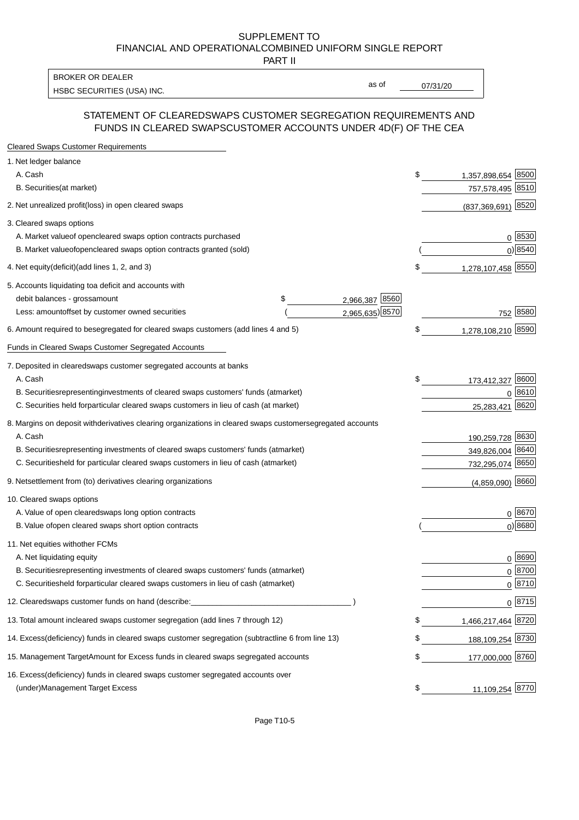PART II

HSBC SECURITIES (USA) INC. CONTRACTED THE SECURITIES (USA) INC. BROKER OR DEALER

as of

#### STATEMENT OF CLEARED SWAPS CUSTOMER SEGREGATION REQUIREMENTS AND FUNDS IN CLEARED SWAPS CUSTOMER ACCOUNTS UNDER 4D(F) OF THE CEA

| <b>Cleared Swaps Customer Requirements</b>                                                                  |    |                       |
|-------------------------------------------------------------------------------------------------------------|----|-----------------------|
| 1. Net ledger balance                                                                                       |    |                       |
| A. Cash                                                                                                     | \$ | 8500<br>1,357,898,654 |
| B. Securities (at market)                                                                                   |    | 757,578,495<br>8510   |
| 2. Net unrealized profit (loss) in open cleared swaps                                                       |    | (837,369,691) 8520    |
| 3. Cleared swaps options                                                                                    |    |                       |
| A. Market value of open cleared swaps option contracts purchased                                            |    | $0^{8530}$            |
| B. Market value of open cleared swaps option contracts granted (sold)                                       |    | $0)$ 8540             |
| 4. Net equity (deficit) (add lines 1, 2, and 3)                                                             | \$ | 1,278,107,458 8550    |
| 5. Accounts liquidating to a deficit and accounts with                                                      |    |                       |
| 2,966,387 8560<br>debit balances - gross<br>\$<br>amount                                                    |    |                       |
| 2,965,635) 8570<br>Less: amount offset by customer owned securities                                         |    | 752 8580              |
| 6. Amount required to be segregated for cleared swaps customers (add lines 4 and 5)                         | S  | 1,278,108,210 8590    |
| Funds in Cleared Swaps Customer Segregated Accounts                                                         |    |                       |
| 7. Deposited in cleared swaps customer segregated accounts at banks                                         |    |                       |
| A. Cash                                                                                                     | \$ | 8600<br>173,412,327   |
| B. Securities representing investments of cleared swaps customers' funds (at market)                        |    | 0 8610                |
| C. Securities held for particular cleared swaps customers in lieu of cash (at market)                       |    | 8620<br>25,283,421    |
| 8. Margins on deposit with derivatives clearing organizations in cleared swaps customer segregated accounts |    |                       |
| A. Cash                                                                                                     |    | 190,259,728 8630      |
| representing investments of cleared swaps customers' funds (at market)<br><b>B.</b> Securities              |    | 349,826,004 8640      |
| C. Securities held for particular cleared swaps customers in lieu of cash (at market)                       |    | 732,295,074 8650      |
| 9. Net settlement from (to) derivatives clearing organizations                                              |    | $(4,859,090)$ 8660    |
| 10. Cleared swaps options                                                                                   |    |                       |
| A. Value of open cleared swaps long option contracts                                                        |    | $0^{8670}$            |
| B. Value of open cleared swaps short option contracts                                                       |    | $0$ ) 8680            |
| 11. Net equities with other FCMs                                                                            |    |                       |
| A. Net liquidating equity                                                                                   |    | $0^{8690}$            |
| B. Securities representing investments of cleared swaps customers' funds (at market)                        |    | $0^{8700}$            |
| C. Securities held for particular cleared swaps customers in lieu of cash (at market)                       |    | 0 8710                |
| 12. Cleared swaps customer funds on hand (describe:                                                         |    | $0 \;  8715 $         |
| 13. Total amount in cleared swaps customer segregation (add lines 7 through 12)                             | S  | 1,466,217,464 8720    |
| 14. Excess (deficiency) funds in cleared swaps customer segregation (subtract line 6 from line 13)          |    | 188,109,254 8730      |
| 15. Management Target Amount for Excess funds in cleared swaps segregated accounts                          | \$ | 177,000,000 8760      |
| 16. Excess<br>(deficiency) funds in cleared swaps customer segregated accounts over                         |    |                       |
| <b>Management Target Excess</b><br>(under)                                                                  | \$ | 11,109,254 8770       |